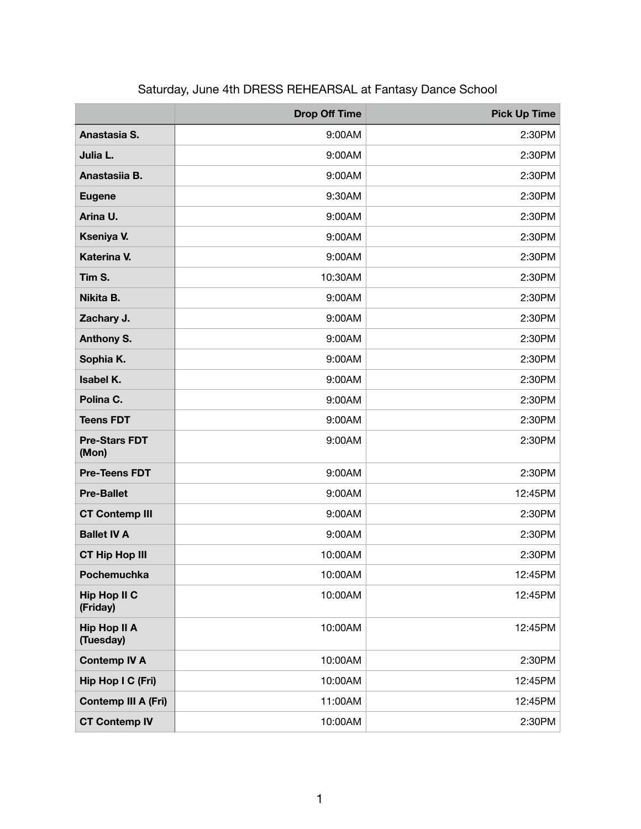|                                  | <b>Drop Off Time</b> | <b>Pick Up Time</b> |
|----------------------------------|----------------------|---------------------|
| Anastasia S.                     | 9:00AM               | 2:30PM              |
| Julia L.                         | 9:00AM               | 2:30PM              |
| Anastasiia B.                    | 9:00AM               | 2:30PM              |
| <b>Eugene</b>                    | 9:30AM               | 2:30PM              |
| Arina U.                         | 9:00AM               | 2:30PM              |
| Kseniya V.                       | 9:00AM               | 2:30PM              |
| Katerina V.                      | 9:00AM               | 2:30PM              |
| Tim S.                           | 10:30AM              | 2:30PM              |
| Nikita B.                        | 9:00AM               | 2:30PM              |
| Zachary J.                       | 9:00AM               | 2:30PM              |
| <b>Anthony S.</b>                | 9:00AM               | 2:30PM              |
| Sophia K.                        | 9:00AM               | 2:30PM              |
| <b>Isabel K.</b>                 | 9:00AM               | 2:30PM              |
| Polina C.                        | 9:00AM               | 2:30PM              |
| <b>Teens FDT</b>                 | 9:00AM               | 2:30PM              |
| <b>Pre-Stars FDT</b><br>(Mon)    | 9:00AM               | 2:30PM              |
| <b>Pre-Teens FDT</b>             | 9:00AM               | 2:30PM              |
| <b>Pre-Ballet</b>                | 9:00AM               | 12:45PM             |
| <b>CT Contemp III</b>            | 9:00AM               | 2:30PM              |
| <b>Ballet IV A</b>               | 9:00AM               | 2:30PM              |
| <b>CT Hip Hop III</b>            | 10:00AM              | 2:30PM              |
| Pochemuchka                      | 10:00AM              | 12:45PM             |
| <b>Hip Hop II C</b><br>(Friday)  | 10:00AM              | 12:45PM             |
| <b>Hip Hop II A</b><br>(Tuesday) | 10:00AM              | 12:45PM             |
| <b>Contemp IV A</b>              | 10:00AM              | 2:30PM              |
| Hip Hop I C (Fri)                | 10:00AM              | 12:45PM             |
| <b>Contemp III A (Fri)</b>       | 11:00AM              | 12:45PM             |
| <b>CT Contemp IV</b>             | 10:00AM              | 2:30PM              |

## Saturday, June 4th DRESS REHEARSAL at Fantasy Dance School